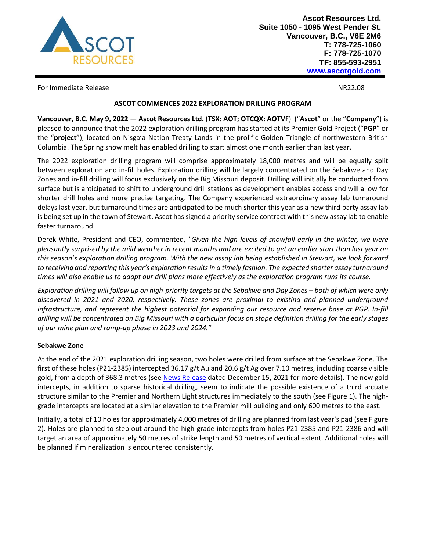

For Immediate Release NR22.08

### **ASCOT COMMENCES 2022 EXPLORATION DRILLING PROGRAM**

**Vancouver, B.C. May 9, 2022 — Ascot Resources Ltd.** (**TSX: AOT; OTCQX: AOTVF**) ("**Ascot**" or the "**Company**") is pleased to announce that the 2022 exploration drilling program has started at its Premier Gold Project ("**PGP**" or the "**project**"), located on Nisga'a Nation Treaty Lands in the prolific Golden Triangle of northwestern British Columbia. The Spring snow melt has enabled drilling to start almost one month earlier than last year.

The 2022 exploration drilling program will comprise approximately 18,000 metres and will be equally split between exploration and in-fill holes. Exploration drilling will be largely concentrated on the Sebakwe and Day Zones and in-fill drilling will focus exclusively on the Big Missouri deposit. Drilling will initially be conducted from surface but is anticipated to shift to underground drill stations as development enables access and will allow for shorter drill holes and more precise targeting. The Company experienced extraordinary assay lab turnaround delays last year, but turnaround times are anticipated to be much shorter this year as a new third party assay lab is being set up in the town of Stewart. Ascot has signed a priority service contract with this new assay lab to enable faster turnaround.

Derek White, President and CEO, commented, *"Given the high levels of snowfall early in the winter, we were pleasantly surprised by the mild weather in recent months and are excited to get an earlier start than last year on this season's exploration drilling program. With the new assay lab being established in Stewart, we look forward to receiving and reporting this year's exploration results in a timely fashion. The expected shorter assay turnaround times will also enable us to adapt our drill plans more effectively as the exploration program runs its course.*

*Exploration drilling will follow up on high-priority targets at the Sebakwe and Day Zones – both of which were only discovered in 2021 and 2020, respectively. These zones are proximal to existing and planned underground infrastructure, and represent the highest potential for expanding our resource and reserve base at PGP. In-fill drilling will be concentrated on Big Missouri with a particular focus on stope definition drilling for the early stages of our mine plan and ramp-up phase in 2023 and 2024."*

# **Sebakwe Zone**

At the end of the 2021 exploration drilling season, two holes were drilled from surface at the Sebakwe Zone. The first of these holes (P21-2385) intercepted 36.17 g/t Au and 20.6 g/t Ag over 7.10 metres, including coarse visible gold, from a depth of 368.3 metres (se[e News Release](https://ascotgold.com/news-releases/2021/ascot-intercepts-36.2-g-t-gold-over-7.1-metres-including-multiple-occurences-of-coarse-visible-gold-in-exploration-drill-hole/) dated December 15, 2021 for more details). The new gold intercepts, in addition to sparse historical drilling, seem to indicate the possible existence of a third arcuate structure similar to the Premier and Northern Light structures immediately to the south (see Figure 1). The highgrade intercepts are located at a similar elevation to the Premier mill building and only 600 metres to the east.

Initially, a total of 10 holes for approximately 4,000 metres of drilling are planned from last year's pad (see Figure 2). Holes are planned to step out around the high-grade intercepts from holes P21-2385 and P21-2386 and will target an area of approximately 50 metres of strike length and 50 metres of vertical extent. Additional holes will be planned if mineralization is encountered consistently.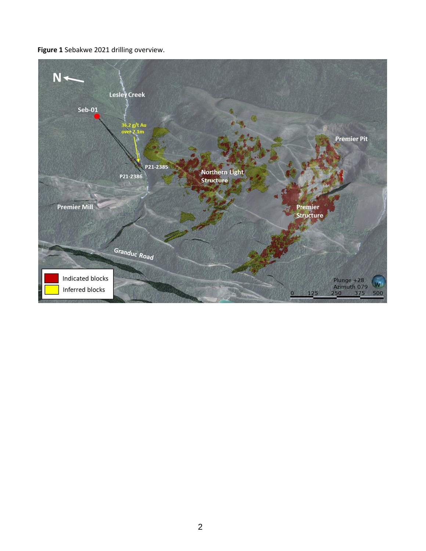**Figure 1** Sebakwe 2021 drilling overview.

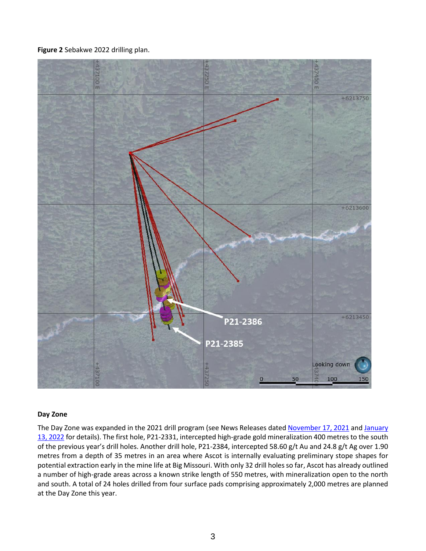**Figure 2** Sebakwe 2022 drilling plan.



### **Day Zone**

The Day Zone was expanded in the 2021 drill program (see News Releases dated [November 17, 2021](https://ascotgold.com/news-releases/2021/ascot-expands-day-zone-mineralization-400-metres-to-the-south-with-step-out-drill-hole/) and January [13, 2022](https://ascotgold.com/news-releases/2022/ascot-intercepts-more-high-grade-gold-at-the-day-zone-including-58.6-g-t-gold-over-1.9-metres-and-16.5-g-t-gold-over-5.7-metres/) for details). The first hole, P21-2331, intercepted high-grade gold mineralization 400 metres to the south of the previous year's drill holes. Another drill hole, P21-2384, intercepted 58.60 g/t Au and 24.8 g/t Ag over 1.90 metres from a depth of 35 metres in an area where Ascot is internally evaluating preliminary stope shapes for potential extraction early in the mine life at Big Missouri. With only 32 drill holes so far, Ascot has already outlined a number of high-grade areas across a known strike length of 550 metres, with mineralization open to the north and south. A total of 24 holes drilled from four surface pads comprising approximately 2,000 metres are planned at the Day Zone this year.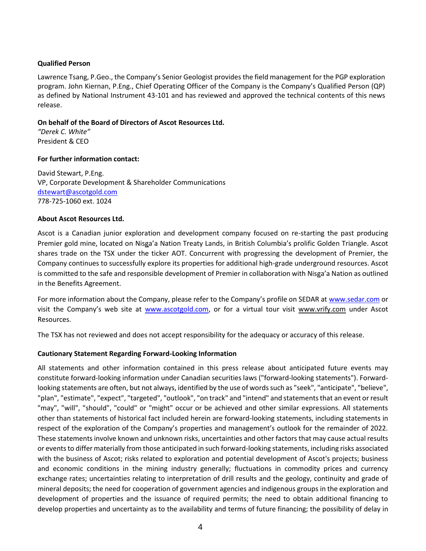## **Qualified Person**

Lawrence Tsang, P.Geo., the Company's Senior Geologist provides the field management for the PGP exploration program. John Kiernan, P.Eng., Chief Operating Officer of the Company is the Company's Qualified Person (QP) as defined by National Instrument 43-101 and has reviewed and approved the technical contents of this news release.

## **On behalf of the Board of Directors of Ascot Resources Ltd.**

*"Derek C. White"* President & CEO

### **For further information contact:**

David Stewart, P.Eng. VP, Corporate Development & Shareholder Communications [dstewart@ascotgold.com](mailto:dstewart@ascotgold.com) 778-725-1060 ext. 1024

### **About Ascot Resources Ltd.**

Ascot is a Canadian junior exploration and development company focused on re-starting the past producing Premier gold mine, located on Nisga'a Nation Treaty Lands, in British Columbia's prolific Golden Triangle. Ascot shares trade on the TSX under the ticker AOT. Concurrent with progressing the development of Premier, the Company continues to successfully explore its properties for additional high-grade underground resources. Ascot is committed to the safe and responsible development of Premier in collaboration with Nisga'a Nation as outlined in the Benefits Agreement.

For more information about the Company, please refer to the Company's profile on SEDAR at www.sedar.com or visit the Company's web site at www.ascotgold.com, or for a virtual tour visit www.vrify.com under Ascot Resources.

The TSX has not reviewed and does not accept responsibility for the adequacy or accuracy of this release.

# **Cautionary Statement Regarding Forward-Looking Information**

All statements and other information contained in this press release about anticipated future events may constitute forward-looking information under Canadian securities laws ("forward-looking statements"). Forwardlooking statements are often, but not always, identified by the use of words such as "seek", "anticipate", "believe", "plan", "estimate", "expect", "targeted", "outlook", "on track" and "intend" and statements that an event or result "may", "will", "should", "could" or "might" occur or be achieved and other similar expressions. All statements other than statements of historical fact included herein are forward-looking statements, including statements in respect of the exploration of the Company's properties and management's outlook for the remainder of 2022. These statements involve known and unknown risks, uncertainties and other factors that may cause actual results or events to differ materially from those anticipated in such forward-looking statements, including risks associated with the business of Ascot; risks related to exploration and potential development of Ascot's projects; business and economic conditions in the mining industry generally; fluctuations in commodity prices and currency exchange rates; uncertainties relating to interpretation of drill results and the geology, continuity and grade of mineral deposits; the need for cooperation of government agencies and indigenous groups in the exploration and development of properties and the issuance of required permits; the need to obtain additional financing to develop properties and uncertainty as to the availability and terms of future financing; the possibility of delay in